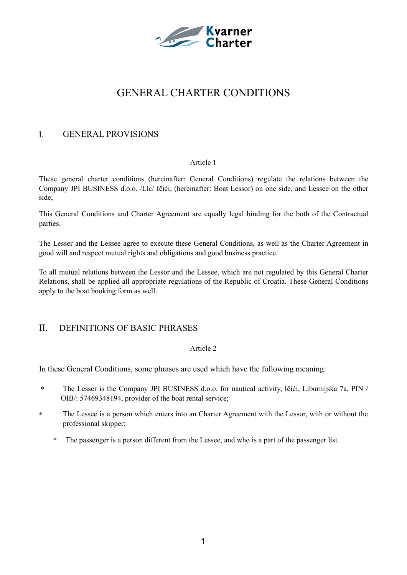

# GENERAL CHARTER CONDITIONS

## I. GENERAL PROVISIONS

## Article 1

These general charter conditions (hereinafter: General Conditions) regulate the relations between the Company JPI BUSINESS d.o.o. /Llc/ Ičići, (hereinafter: Boat Lessor) on one side, and Lessee on the other side,

This General Conditions and Charter Agreement are equally legal binding for the both of the Contractual parties.

The Lesser and the Lessee agree to execute these General Conditions, as well as the Charter Agreement in good will and respect mutual rights and obligations and good business practice.

To all mutual relations between the Lessor and the Lessee, which are not regulated by this General Charter Relations, shall be applied all appropriate regulations of the Republic of Croatia. These General Conditions apply to the boat booking form as well.

## II. DEFINITIONS OF BASIC PHRASES

## Article 2

In these General Conditions, some phrases are used which have the following meaning:

- ∗ The Lesser is the Company JPI BUSINESS d.o.o. for nautical activity, Ičići, Liburnijska 7a, PIN / OIB/: 57469348194, provider of the boat rental service;
- ∗ The Lessee is a person which enters into an Charter Agreement with the Lessor, with or without the professional skipper;
	- ∗ The passenger is a person different from the Lessee, and who is a part of the passenger list.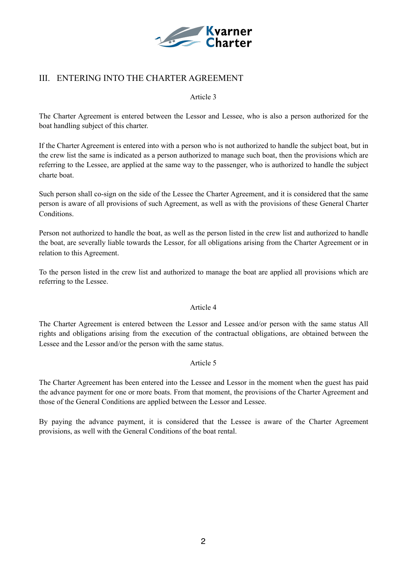

## III. ENTERING INTO THE CHARTER AGREEMENT

### Article 3

The Charter Agreement is entered between the Lessor and Lessee, who is also a person authorized for the boat handling subject of this charter.

If the Charter Agreement is entered into with a person who is not authorized to handle the subject boat, but in the crew list the same is indicated as a person authorized to manage such boat, then the provisions which are referring to the Lessee, are applied at the same way to the passenger, who is authorized to handle the subject charte boat.

Such person shall co-sign on the side of the Lessee the Charter Agreement, and it is considered that the same person is aware of all provisions of such Agreement, as well as with the provisions of these General Charter Conditions.

Person not authorized to handle the boat, as well as the person listed in the crew list and authorized to handle the boat, are severally liable towards the Lessor, for all obligations arising from the Charter Agreement or in relation to this Agreement.

To the person listed in the crew list and authorized to manage the boat are applied all provisions which are referring to the Lessee.

## Article 4

The Charter Agreement is entered between the Lessor and Lessee and/or person with the same status All rights and obligations arising from the execution of the contractual obligations, are obtained between the Lessee and the Lessor and/or the person with the same status.

## Article 5

The Charter Agreement has been entered into the Lessee and Lessor in the moment when the guest has paid the advance payment for one or more boats. From that moment, the provisions of the Charter Agreement and those of the General Conditions are applied between the Lessor and Lessee.

By paying the advance payment, it is considered that the Lessee is aware of the Charter Agreement provisions, as well with the General Conditions of the boat rental.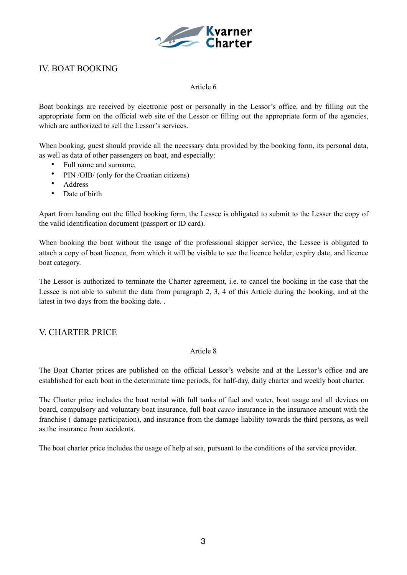

## IV. BOAT BOOKING

## Article 6

Boat bookings are received by electronic post or personally in the Lessor's office, and by filling out the appropriate form on the official web site of the Lessor or filling out the appropriate form of the agencies, which are authorized to sell the Lessor's services.

When booking, guest should provide all the necessary data provided by the booking form, its personal data, as well as data of other passengers on boat, and especially:

- Full name and surname,
- PIN /OIB/ (only for the Croatian citizens)
- Address
- Date of birth

Apart from handing out the filled booking form, the Lessee is obligated to submit to the Lesser the copy of the valid identification document (passport or ID card).

When booking the boat without the usage of the professional skipper service, the Lessee is obligated to attach a copy of boat licence, from which it will be visible to see the licence holder, expiry date, and licence boat category.

The Lessor is authorized to terminate the Charter agreement, i.e. to cancel the booking in the case that the Lessee is not able to submit the data from paragraph 2, 3, 4 of this Article during the booking, and at the latest in two days from the booking date. .

## V. CHARTER PRICE

## Article 8

The Boat Charter prices are published on the official Lessor's website and at the Lessor's office and are established for each boat in the determinate time periods, for half-day, daily charter and weekly boat charter.

The Charter price includes the boat rental with full tanks of fuel and water, boat usage and all devices on board, compulsory and voluntary boat insurance, full boat *casco* insurance in the insurance amount with the franchise ( damage participation), and insurance from the damage liability towards the third persons, as well as the insurance from accidents.

The boat charter price includes the usage of help at sea, pursuant to the conditions of the service provider.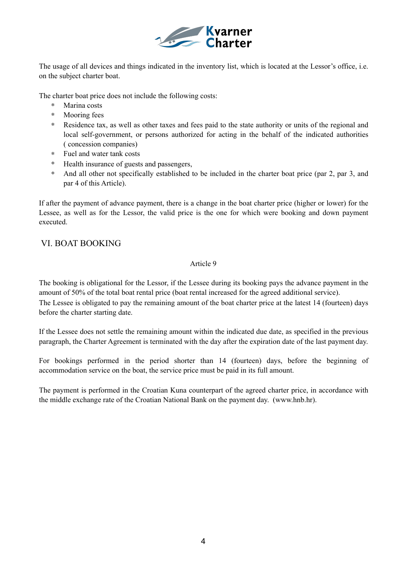

The usage of all devices and things indicated in the inventory list, which is located at the Lessor's office, i.e. on the subject charter boat.

The charter boat price does not include the following costs:

- ∗ Marina costs
- ∗ Mooring fees
- ∗ Residence tax, as well as other taxes and fees paid to the state authority or units of the regional and local self-government, or persons authorized for acting in the behalf of the indicated authorities ( concession companies)
- ∗ Fuel and water tank costs
- ∗ Health insurance of guests and passengers,
- ∗ And all other not specifically established to be included in the charter boat price (par 2, par 3, and par 4 of this Article).

If after the payment of advance payment, there is a change in the boat charter price (higher or lower) for the Lessee, as well as for the Lessor, the valid price is the one for which were booking and down payment executed.

## VI. BOAT BOOKING

## Article 9

The booking is obligational for the Lessor, if the Lessee during its booking pays the advance payment in the amount of 50% of the total boat rental price (boat rental increased for the agreed additional service). The Lessee is obligated to pay the remaining amount of the boat charter price at the latest 14 (fourteen) days before the charter starting date.

If the Lessee does not settle the remaining amount within the indicated due date, as specified in the previous paragraph, the Charter Agreement is terminated with the day after the expiration date of the last payment day.

For bookings performed in the period shorter than 14 (fourteen) days, before the beginning of accommodation service on the boat, the service price must be paid in its full amount.

The payment is performed in the Croatian Kuna counterpart of the agreed charter price, in accordance with the middle exchange rate of the Croatian National Bank on the payment day. (www.hnb.hr).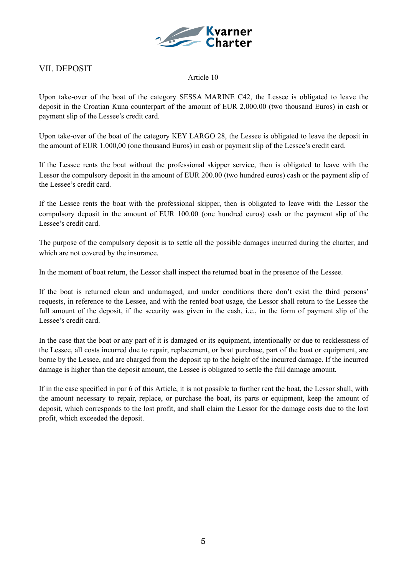

## VII. DEPOSIT

## Article 10

Upon take-over of the boat of the category SESSA MARINE C42, the Lessee is obligated to leave the deposit in the Croatian Kuna counterpart of the amount of EUR 2,000.00 (two thousand Euros) in cash or payment slip of the Lessee's credit card.

Upon take-over of the boat of the category KEY LARGO 28, the Lessee is obligated to leave the deposit in the amount of EUR 1.000,00 (one thousand Euros) in cash or payment slip of the Lessee's credit card.

If the Lessee rents the boat without the professional skipper service, then is obligated to leave with the Lessor the compulsory deposit in the amount of EUR 200.00 (two hundred euros) cash or the payment slip of the Lessee's credit card.

If the Lessee rents the boat with the professional skipper, then is obligated to leave with the Lessor the compulsory deposit in the amount of EUR 100.00 (one hundred euros) cash or the payment slip of the Lessee's credit card.

The purpose of the compulsory deposit is to settle all the possible damages incurred during the charter, and which are not covered by the insurance.

In the moment of boat return, the Lessor shall inspect the returned boat in the presence of the Lessee.

If the boat is returned clean and undamaged, and under conditions there don't exist the third persons' requests, in reference to the Lessee, and with the rented boat usage, the Lessor shall return to the Lessee the full amount of the deposit, if the security was given in the cash, i.e., in the form of payment slip of the Lessee's credit card.

In the case that the boat or any part of it is damaged or its equipment, intentionally or due to recklessness of the Lessee, all costs incurred due to repair, replacement, or boat purchase, part of the boat or equipment, are borne by the Lessee, and are charged from the deposit up to the height of the incurred damage. If the incurred damage is higher than the deposit amount, the Lessee is obligated to settle the full damage amount.

If in the case specified in par 6 of this Article, it is not possible to further rent the boat, the Lessor shall, with the amount necessary to repair, replace, or purchase the boat, its parts or equipment, keep the amount of deposit, which corresponds to the lost profit, and shall claim the Lessor for the damage costs due to the lost profit, which exceeded the deposit.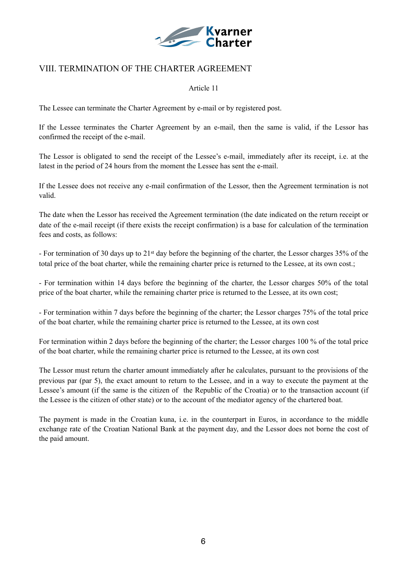

## VIII. TERMINATION OF THE CHARTER AGREEMENT

## Article 11

The Lessee can terminate the Charter Agreement by e-mail or by registered post.

If the Lessee terminates the Charter Agreement by an e-mail, then the same is valid, if the Lessor has confirmed the receipt of the e-mail.

The Lessor is obligated to send the receipt of the Lessee's e-mail, immediately after its receipt, i.e. at the latest in the period of 24 hours from the moment the Lessee has sent the e-mail.

If the Lessee does not receive any e-mail confirmation of the Lessor, then the Agreement termination is not valid.

The date when the Lessor has received the Agreement termination (the date indicated on the return receipt or date of the e-mail receipt (if there exists the receipt confirmation) is a base for calculation of the termination fees and costs, as follows:

- For termination of 30 days up to 21st day before the beginning of the charter, the Lessor charges 35% of the total price of the boat charter, while the remaining charter price is returned to the Lessee, at its own cost.;

- For termination within 14 days before the beginning of the charter, the Lessor charges 50% of the total price of the boat charter, while the remaining charter price is returned to the Lessee, at its own cost;

- For termination within 7 days before the beginning of the charter; the Lessor charges 75% of the total price of the boat charter, while the remaining charter price is returned to the Lessee, at its own cost

For termination within 2 days before the beginning of the charter; the Lessor charges 100 % of the total price of the boat charter, while the remaining charter price is returned to the Lessee, at its own cost

The Lessor must return the charter amount immediately after he calculates, pursuant to the provisions of the previous par (par 5), the exact amount to return to the Lessee, and in a way to execute the payment at the Lessee's amount (if the same is the citizen of the Republic of the Croatia) or to the transaction account (if the Lessee is the citizen of other state) or to the account of the mediator agency of the chartered boat.

The payment is made in the Croatian kuna, i.e. in the counterpart in Euros, in accordance to the middle exchange rate of the Croatian National Bank at the payment day, and the Lessor does not borne the cost of the paid amount.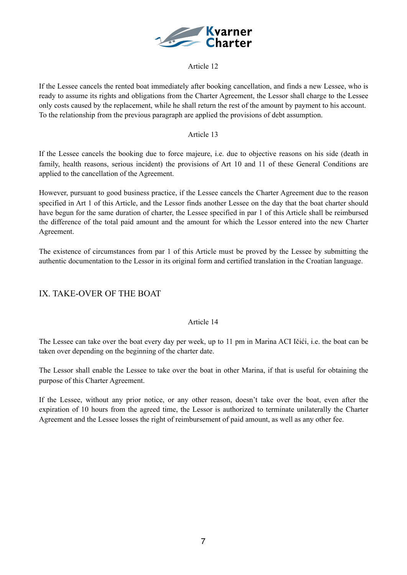

## Article 12

If the Lessee cancels the rented boat immediately after booking cancellation, and finds a new Lessee, who is ready to assume its rights and obligations from the Charter Agreement, the Lessor shall charge to the Lessee only costs caused by the replacement, while he shall return the rest of the amount by payment to his account. To the relationship from the previous paragraph are applied the provisions of debt assumption.

## Article 13

If the Lessee cancels the booking due to force majeure, i.e. due to objective reasons on his side (death in family, health reasons, serious incident) the provisions of Art 10 and 11 of these General Conditions are applied to the cancellation of the Agreement.

However, pursuant to good business practice, if the Lessee cancels the Charter Agreement due to the reason specified in Art 1 of this Article, and the Lessor finds another Lessee on the day that the boat charter should have begun for the same duration of charter, the Lessee specified in par 1 of this Article shall be reimbursed the difference of the total paid amount and the amount for which the Lessor entered into the new Charter Agreement.

The existence of circumstances from par 1 of this Article must be proved by the Lessee by submitting the authentic documentation to the Lessor in its original form and certified translation in the Croatian language.

## IX. TAKE-OVER OF THE BOAT

## Article 14

The Lessee can take over the boat every day per week, up to 11 pm in Marina ACI Ičići, i.e. the boat can be taken over depending on the beginning of the charter date.

The Lessor shall enable the Lessee to take over the boat in other Marina, if that is useful for obtaining the purpose of this Charter Agreement.

If the Lessee, without any prior notice, or any other reason, doesn't take over the boat, even after the expiration of 10 hours from the agreed time, the Lessor is authorized to terminate unilaterally the Charter Agreement and the Lessee losses the right of reimbursement of paid amount, as well as any other fee.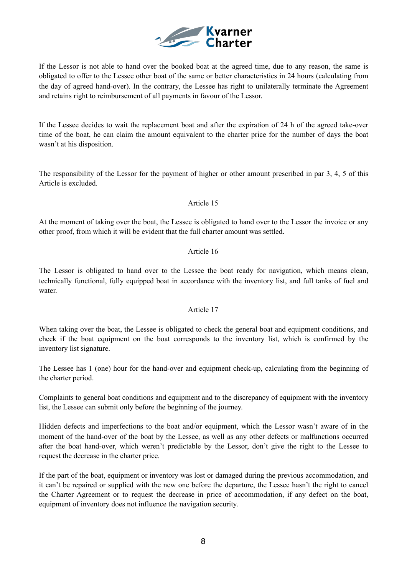

If the Lessor is not able to hand over the booked boat at the agreed time, due to any reason, the same is obligated to offer to the Lessee other boat of the same or better characteristics in 24 hours (calculating from the day of agreed hand-over). In the contrary, the Lessee has right to unilaterally terminate the Agreement and retains right to reimbursement of all payments in favour of the Lessor.

If the Lessee decides to wait the replacement boat and after the expiration of 24 h of the agreed take-over time of the boat, he can claim the amount equivalent to the charter price for the number of days the boat wasn't at his disposition.

The responsibility of the Lessor for the payment of higher or other amount prescribed in par 3, 4, 5 of this Article is excluded.

Article 15

At the moment of taking over the boat, the Lessee is obligated to hand over to the Lessor the invoice or any other proof, from which it will be evident that the full charter amount was settled.

## Article 16

The Lessor is obligated to hand over to the Lessee the boat ready for navigation, which means clean, technically functional, fully equipped boat in accordance with the inventory list, and full tanks of fuel and water.

## Article 17

When taking over the boat, the Lessee is obligated to check the general boat and equipment conditions, and check if the boat equipment on the boat corresponds to the inventory list, which is confirmed by the inventory list signature.

The Lessee has 1 (one) hour for the hand-over and equipment check-up, calculating from the beginning of the charter period.

Complaints to general boat conditions and equipment and to the discrepancy of equipment with the inventory list, the Lessee can submit only before the beginning of the journey.

Hidden defects and imperfections to the boat and/or equipment, which the Lessor wasn't aware of in the moment of the hand-over of the boat by the Lessee, as well as any other defects or malfunctions occurred after the boat hand-over, which weren't predictable by the Lessor, don't give the right to the Lessee to request the decrease in the charter price.

If the part of the boat, equipment or inventory was lost or damaged during the previous accommodation, and it can't be repaired or supplied with the new one before the departure, the Lessee hasn't the right to cancel the Charter Agreement or to request the decrease in price of accommodation, if any defect on the boat, equipment of inventory does not influence the navigation security.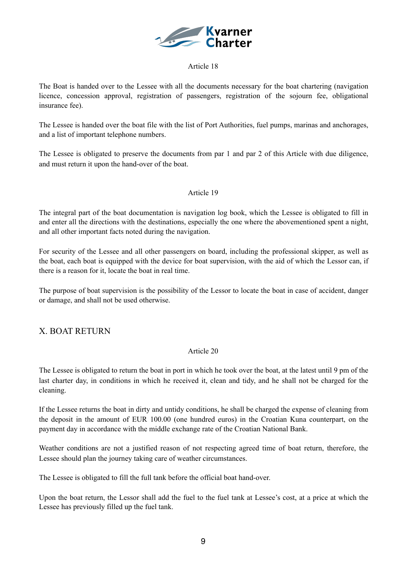

## Article 18

The Boat is handed over to the Lessee with all the documents necessary for the boat chartering (navigation licence, concession approval, registration of passengers, registration of the sojourn fee, obligational insurance fee).

The Lessee is handed over the boat file with the list of Port Authorities, fuel pumps, marinas and anchorages, and a list of important telephone numbers.

The Lessee is obligated to preserve the documents from par 1 and par 2 of this Article with due diligence, and must return it upon the hand-over of the boat.

## Article 19

The integral part of the boat documentation is navigation log book, which the Lessee is obligated to fill in and enter all the directions with the destinations, especially the one where the abovementioned spent a night, and all other important facts noted during the navigation.

For security of the Lessee and all other passengers on board, including the professional skipper, as well as the boat, each boat is equipped with the device for boat supervision, with the aid of which the Lessor can, if there is a reason for it, locate the boat in real time.

The purpose of boat supervision is the possibility of the Lessor to locate the boat in case of accident, danger or damage, and shall not be used otherwise.

## X. BOAT RETURN

## Article 20

The Lessee is obligated to return the boat in port in which he took over the boat, at the latest until 9 pm of the last charter day, in conditions in which he received it, clean and tidy, and he shall not be charged for the cleaning.

If the Lessee returns the boat in dirty and untidy conditions, he shall be charged the expense of cleaning from the deposit in the amount of EUR 100.00 (one hundred euros) in the Croatian Kuna counterpart, on the payment day in accordance with the middle exchange rate of the Croatian National Bank.

Weather conditions are not a justified reason of not respecting agreed time of boat return, therefore, the Lessee should plan the journey taking care of weather circumstances.

The Lessee is obligated to fill the full tank before the official boat hand-over.

Upon the boat return, the Lessor shall add the fuel to the fuel tank at Lessee's cost, at a price at which the Lessee has previously filled up the fuel tank.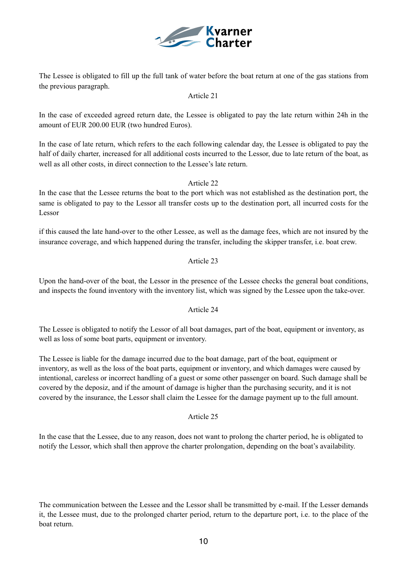

The Lessee is obligated to fill up the full tank of water before the boat return at one of the gas stations from the previous paragraph.

#### Article 21

In the case of exceeded agreed return date, the Lessee is obligated to pay the late return within 24h in the amount of EUR 200.00 EUR (two hundred Euros).

In the case of late return, which refers to the each following calendar day, the Lessee is obligated to pay the half of daily charter, increased for all additional costs incurred to the Lessor, due to late return of the boat, as well as all other costs, in direct connection to the Lessee's late return.

### Article 22

In the case that the Lessee returns the boat to the port which was not established as the destination port, the same is obligated to pay to the Lessor all transfer costs up to the destination port, all incurred costs for the Lessor

if this caused the late hand-over to the other Lessee, as well as the damage fees, which are not insured by the insurance coverage, and which happened during the transfer, including the skipper transfer, i.e. boat crew.

### Article 23

Upon the hand-over of the boat, the Lessor in the presence of the Lessee checks the general boat conditions, and inspects the found inventory with the inventory list, which was signed by the Lessee upon the take-over.

#### Article 24

The Lessee is obligated to notify the Lessor of all boat damages, part of the boat, equipment or inventory, as well as loss of some boat parts, equipment or inventory.

The Lessee is liable for the damage incurred due to the boat damage, part of the boat, equipment or inventory, as well as the loss of the boat parts, equipment or inventory, and which damages were caused by intentional, careless or incorrect handling of a guest or some other passenger on board. Such damage shall be covered by the deposiz, and if the amount of damage is higher than the purchasing security, and it is not covered by the insurance, the Lessor shall claim the Lessee for the damage payment up to the full amount.

## Article 25

In the case that the Lessee, due to any reason, does not want to prolong the charter period, he is obligated to notify the Lessor, which shall then approve the charter prolongation, depending on the boat's availability.

The communication between the Lessee and the Lessor shall be transmitted by e-mail. If the Lesser demands it, the Lessee must, due to the prolonged charter period, return to the departure port, i.e. to the place of the boat return.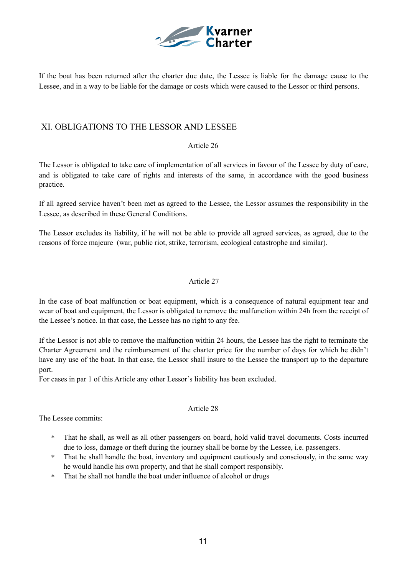

If the boat has been returned after the charter due date, the Lessee is liable for the damage cause to the Lessee, and in a way to be liable for the damage or costs which were caused to the Lessor or third persons.

## XI. OBLIGATIONS TO THE LESSOR AND LESSEE

### Article 26

The Lessor is obligated to take care of implementation of all services in favour of the Lessee by duty of care, and is obligated to take care of rights and interests of the same, in accordance with the good business practice.

If all agreed service haven't been met as agreed to the Lessee, the Lessor assumes the responsibility in the Lessee, as described in these General Conditions.

The Lessor excludes its liability, if he will not be able to provide all agreed services, as agreed, due to the reasons of force majeure (war, public riot, strike, terrorism, ecological catastrophe and similar).

## Article 27

In the case of boat malfunction or boat equipment, which is a consequence of natural equipment tear and wear of boat and equipment, the Lessor is obligated to remove the malfunction within 24h from the receipt of the Lessee's notice. In that case, the Lessee has no right to any fee.

If the Lessor is not able to remove the malfunction within 24 hours, the Lessee has the right to terminate the Charter Agreement and the reimbursement of the charter price for the number of days for which he didn't have any use of the boat. In that case, the Lessor shall insure to the Lessee the transport up to the departure port.

Article 28

For cases in par 1 of this Article any other Lessor's liability has been excluded.

The Lessee commits:

- ∗ That he shall, as well as all other passengers on board, hold valid travel documents. Costs incurred due to loss, damage or theft during the journey shall be borne by the Lessee, i.e. passengers.
- ∗ That he shall handle the boat, inventory and equipment cautiously and consciously, in the same way he would handle his own property, and that he shall comport responsibly.
- ∗ That he shall not handle the boat under influence of alcohol or drugs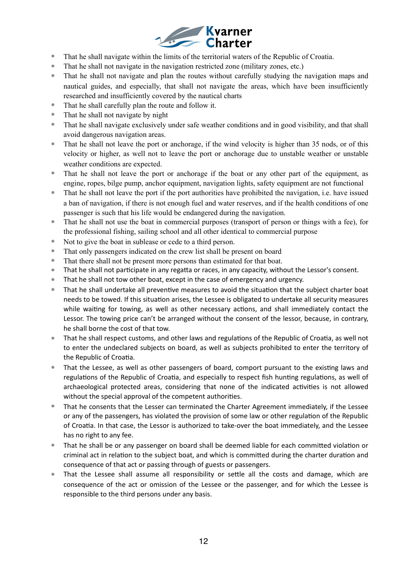

- ∗ That he shall navigate within the limits of the territorial waters of the Republic of Croatia.
- ∗ That he shall not navigate in the navigation restricted zone (military zones, etc.)
- ∗ That he shall not navigate and plan the routes without carefully studying the navigation maps and nautical guides, and especially, that shall not navigate the areas, which have been insufficiently researched and insufficiently covered by the nautical charts
- ∗ That he shall carefully plan the route and follow it.
- ∗ That he shall not navigate by night
- ∗ That he shall navigate exclusively under safe weather conditions and in good visibility, and that shall avoid dangerous navigation areas.
- That he shall not leave the port or anchorage, if the wind velocity is higher than 35 nods, or of this velocity or higher, as well not to leave the port or anchorage due to unstable weather or unstable weather conditions are expected.
- ∗ That he shall not leave the port or anchorage if the boat or any other part of the equipment, as engine, ropes, bilge pump, anchor equipment, navigation lights, safety equipment are not functional
- ∗ That he shall not leave the port if the port authorities have prohibited the navigation, i.e. have issued a ban of navigation, if there is not enough fuel and water reserves, and if the health conditions of one passenger is such that his life would be endangered during the navigation.
- ∗ That he shall not use the boat in commercial purposes (transport of person or things with a fee), for the professional fishing, sailing school and all other identical to commercial purpose
- ∗ Not to give the boat in sublease or cede to a third person.
- ∗ That only passengers indicated on the crew list shall be present on board
- ∗ That there shall not be present more persons than estimated for that boat.
- ∗ That he shall not participate in any regatta or races, in any capacity, without the Lessor's consent.
- ∗ That he shall not tow other boat, except in the case of emergency and urgency.
- That he shall undertake all preventive measures to avoid the situation that the subject charter boat needs to be towed. If this situation arises, the Lessee is obligated to undertake all security measures while waiting for towing, as well as other necessary actions, and shall immediately contact the Lessor. The towing price can't be arranged without the consent of the lessor, because, in contrary, he shall borne the cost of that tow.
- ∗ That he shall respect customs, and other laws and regulations of the Republic of Croatia, as well not to enter the undeclared subjects on board, as well as subjects prohibited to enter the territory of the Republic of Croatia.
- \* That the Lessee, as well as other passengers of board, comport pursuant to the existing laws and regulations of the Republic of Croatia, and especially to respect fish hunting regulations, as well of archaeological protected areas, considering that none of the indicated activities is not allowed without the special approval of the competent authorities.
- That he consents that the Lesser can terminated the Charter Agreement immediately, if the Lessee or any of the passengers, has violated the provision of some law or other regulation of the Republic of Croatia. In that case, the Lessor is authorized to take-over the boat immediately, and the Lessee has no right to any fee.
- <sup>\*</sup> That he shall be or any passenger on board shall be deemed liable for each committed violation or criminal act in relation to the subject boat, and which is committed during the charter duration and consequence of that act or passing through of guests or passengers.
- ∗ That the Lessee shall assume all responsibility or se2le all the costs and damage, which are consequence of the act or omission of the Lessee or the passenger, and for which the Lessee is responsible to the third persons under any basis.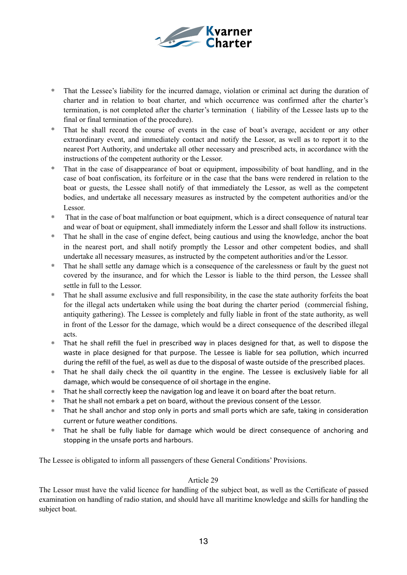

- That the Lessee's liability for the incurred damage, violation or criminal act during the duration of charter and in relation to boat charter, and which occurrence was confirmed after the charter's termination, is not completed after the charter's termination ( liability of the Lessee lasts up to the final or final termination of the procedure).
- That he shall record the course of events in the case of boat's average, accident or any other extraordinary event, and immediately contact and notify the Lessor, as well as to report it to the nearest Port Authority, and undertake all other necessary and prescribed acts, in accordance with the instructions of the competent authority or the Lessor.
- ∗ That in the case of disappearance of boat or equipment, impossibility of boat handling, and in the case of boat confiscation, its forfeiture or in the case that the bans were rendered in relation to the boat or guests, the Lessee shall notify of that immediately the Lessor, as well as the competent bodies, and undertake all necessary measures as instructed by the competent authorities and/or the Lessor.
- ∗ That in the case of boat malfunction or boat equipment, which is a direct consequence of natural tear and wear of boat or equipment, shall immediately inform the Lessor and shall follow its instructions.
- ∗ That he shall in the case of engine defect, being cautious and using the knowledge, anchor the boat in the nearest port, and shall notify promptly the Lessor and other competent bodies, and shall undertake all necessary measures, as instructed by the competent authorities and/or the Lessor.
- ∗ That he shall settle any damage which is a consequence of the carelessness or fault by the guest not covered by the insurance, and for which the Lessor is liable to the third person, the Lessee shall settle in full to the Lessor.
- ∗ That he shall assume exclusive and full responsibility, in the case the state authority forfeits the boat for the illegal acts undertaken while using the boat during the charter period (commercial fishing, antiquity gathering). The Lessee is completely and fully liable in front of the state authority, as well in front of the Lessor for the damage, which would be a direct consequence of the described illegal acts.
- That he shall refill the fuel in prescribed way in places designed for that, as well to dispose the waste in place designed for that purpose. The Lessee is liable for sea pollution, which incurred during the refill of the fuel, as well as due to the disposal of waste outside of the prescribed places.
- ∗ That he shall daily check the oil quantity in the engine. The Lessee is exclusively liable for all damage, which would be consequence of oil shortage in the engine.
- \* That he shall correctly keep the navigation log and leave it on board after the boat return.
- ∗ That he shall not embark a pet on board, without the previous consent of the Lessor.
- \* That he shall anchor and stop only in ports and small ports which are safe, taking in consideration current or future weather conditions.
- ∗ That he shall be fully liable for damage which would be direct consequence of anchoring and stopping in the unsafe ports and harbours.

The Lessee is obligated to inform all passengers of these General Conditions' Provisions.

#### Article 29

The Lessor must have the valid licence for handling of the subject boat, as well as the Certificate of passed examination on handling of radio station, and should have all maritime knowledge and skills for handling the subject boat.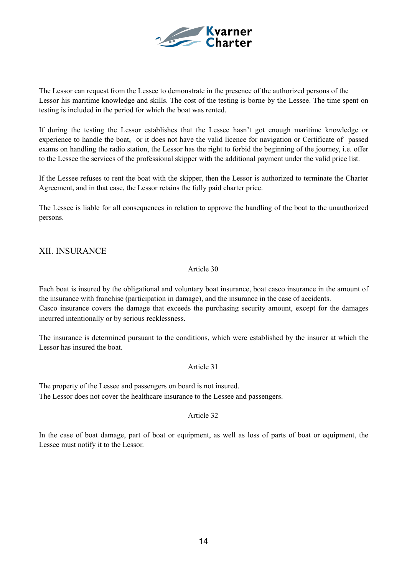

The Lessor can request from the Lessee to demonstrate in the presence of the authorized persons of the Lessor his maritime knowledge and skills. The cost of the testing is borne by the Lessee. The time spent on testing is included in the period for which the boat was rented.

If during the testing the Lessor establishes that the Lessee hasn't got enough maritime knowledge or experience to handle the boat, or it does not have the valid licence for navigation or Certificate of passed exams on handling the radio station, the Lessor has the right to forbid the beginning of the journey, i.e. offer to the Lessee the services of the professional skipper with the additional payment under the valid price list.

If the Lessee refuses to rent the boat with the skipper, then the Lessor is authorized to terminate the Charter Agreement, and in that case, the Lessor retains the fully paid charter price.

The Lessee is liable for all consequences in relation to approve the handling of the boat to the unauthorized persons.

## XII. INSURANCE

#### Article 30

Each boat is insured by the obligational and voluntary boat insurance, boat casco insurance in the amount of the insurance with franchise (participation in damage), and the insurance in the case of accidents. Casco insurance covers the damage that exceeds the purchasing security amount, except for the damages incurred intentionally or by serious recklessness.

The insurance is determined pursuant to the conditions, which were established by the insurer at which the Lessor has insured the boat.

#### Article 31

The property of the Lessee and passengers on board is not insured. The Lessor does not cover the healthcare insurance to the Lessee and passengers.

#### Article 32

In the case of boat damage, part of boat or equipment, as well as loss of parts of boat or equipment, the Lessee must notify it to the Lessor.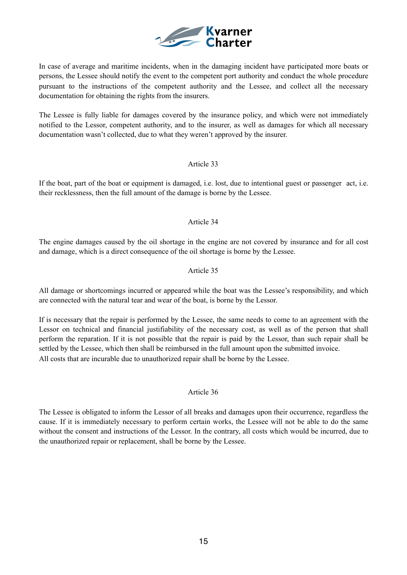

In case of average and maritime incidents, when in the damaging incident have participated more boats or persons, the Lessee should notify the event to the competent port authority and conduct the whole procedure pursuant to the instructions of the competent authority and the Lessee, and collect all the necessary documentation for obtaining the rights from the insurers.

The Lessee is fully liable for damages covered by the insurance policy, and which were not immediately notified to the Lessor, competent authority, and to the insurer, as well as damages for which all necessary documentation wasn't collected, due to what they weren't approved by the insurer.

## Article 33

If the boat, part of the boat or equipment is damaged, i.e. lost, due to intentional guest or passenger act, i.e. their recklessness, then the full amount of the damage is borne by the Lessee.

## Article 34

The engine damages caused by the oil shortage in the engine are not covered by insurance and for all cost and damage, which is a direct consequence of the oil shortage is borne by the Lessee.

## Article 35

All damage or shortcomings incurred or appeared while the boat was the Lessee's responsibility, and which are connected with the natural tear and wear of the boat, is borne by the Lessor.

If is necessary that the repair is performed by the Lessee, the same needs to come to an agreement with the Lessor on technical and financial justifiability of the necessary cost, as well as of the person that shall perform the reparation. If it is not possible that the repair is paid by the Lessor, than such repair shall be settled by the Lessee, which then shall be reimbursed in the full amount upon the submitted invoice. All costs that are incurable due to unauthorized repair shall be borne by the Lessee.

## Article 36

The Lessee is obligated to inform the Lessor of all breaks and damages upon their occurrence, regardless the cause. If it is immediately necessary to perform certain works, the Lessee will not be able to do the same without the consent and instructions of the Lessor. In the contrary, all costs which would be incurred, due to the unauthorized repair or replacement, shall be borne by the Lessee.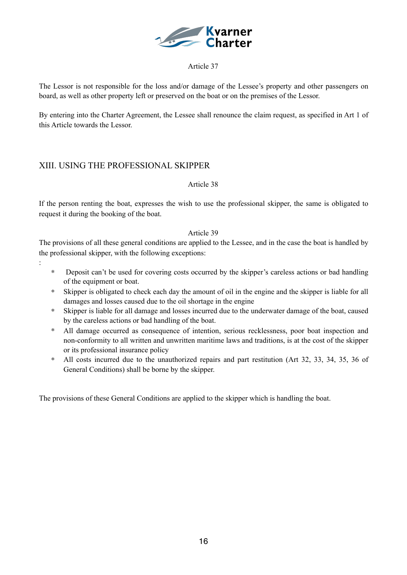

## Article 37

The Lessor is not responsible for the loss and/or damage of the Lessee's property and other passengers on board, as well as other property left or preserved on the boat or on the premises of the Lessor.

By entering into the Charter Agreement, the Lessee shall renounce the claim request, as specified in Art 1 of this Article towards the Lessor.

## XIII. USING THE PROFESSIONAL SKIPPER

:

## Article 38

If the person renting the boat, expresses the wish to use the professional skipper, the same is obligated to request it during the booking of the boat.

## Article 39

The provisions of all these general conditions are applied to the Lessee, and in the case the boat is handled by the professional skipper, with the following exceptions:

- ∗ Deposit can't be used for covering costs occurred by the skipper's careless actions or bad handling of the equipment or boat.
- ∗ Skipper is obligated to check each day the amount of oil in the engine and the skipper is liable for all damages and losses caused due to the oil shortage in the engine
- ∗ Skipper is liable for all damage and losses incurred due to the underwater damage of the boat, caused by the careless actions or bad handling of the boat.
- ∗ All damage occurred as consequence of intention, serious recklessness, poor boat inspection and non-conformity to all written and unwritten maritime laws and traditions, is at the cost of the skipper or its professional insurance policy
- ∗ All costs incurred due to the unauthorized repairs and part restitution (Art 32, 33, 34, 35, 36 of General Conditions) shall be borne by the skipper.

The provisions of these General Conditions are applied to the skipper which is handling the boat.